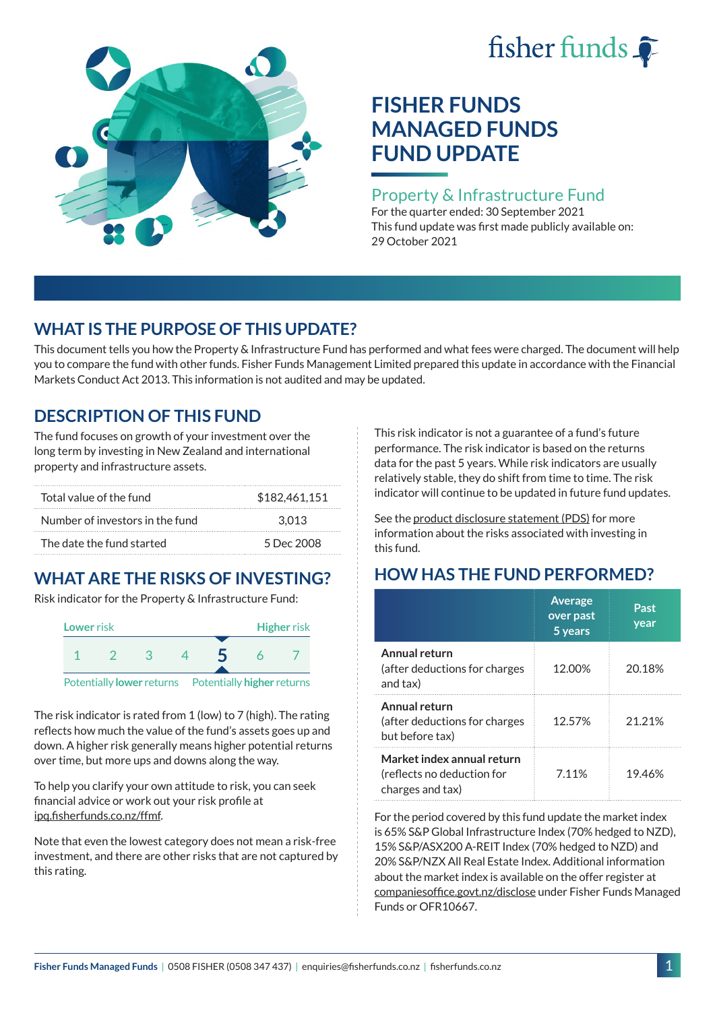# fisher funds  $\hat{\bullet}$



# **FISHER FUNDS MANAGED FUNDS FUND UPDATE**

## Property & Infrastructure Fund

For the quarter ended: 30 September 2021 This fund update was first made publicly available on: 29 October 2021

## **WHAT IS THE PURPOSE OF THIS UPDATE?**

This document tells you how the Property & Infrastructure Fund has performed and what fees were charged. The document will help you to compare the fund with other funds. Fisher Funds Management Limited prepared this update in accordance with the Financial Markets Conduct Act 2013. This information is not audited and may be updated.

## **DESCRIPTION OF THIS FUND**

The fund focuses on growth of your investment over the long term by investing in New Zealand and international property and infrastructure assets.

| Total value of the fund         | \$182.461.151 |
|---------------------------------|---------------|
| Number of investors in the fund | 3.013         |
| The date the fund started       | 5 Dec 2008    |

# **WHAT ARE THE RISKS OF INVESTING?**

Risk indicator for the Property & Infrastructure Fund:



The risk indicator is rated from 1 (low) to 7 (high). The rating reflects how much the value of the fund's assets goes up and down. A higher risk generally means higher potential returns over time, but more ups and downs along the way.

To help you clarify your own attitude to risk, you can seek financial advice or work out your risk profile at [ipq.fisherfunds.co.nz/ffmf](https://ipq.fisherfunds.co.nz/ffmf).

Note that even the lowest category does not mean a risk-free investment, and there are other risks that are not captured by this rating.

This risk indicator is not a guarantee of a fund's future performance. The risk indicator is based on the returns data for the past 5 years. While risk indicators are usually relatively stable, they do shift from time to time. The risk indicator will continue to be updated in future fund updates.

See the [product disclosure statement \(PDS\)](https://fisherfunds.co.nz/assets/PDS/Fisher-Funds-Managed-Funds-PDS.pdf) for more information about the risks associated with investing in this fund.

# **HOW HAS THE FUND PERFORMED?**

|                                                                              | <b>Average</b><br>over past<br>5 years | Past<br>year |
|------------------------------------------------------------------------------|----------------------------------------|--------------|
| Annual return<br>(after deductions for charges<br>and tax)                   | 12.00%                                 | 20.18%       |
| Annual return<br>(after deductions for charges<br>but before tax)            | 12.57%                                 | 21.21%       |
| Market index annual return<br>(reflects no deduction for<br>charges and tax) | 7.11%                                  | 19.46%       |

For the period covered by this fund update the market index is 65% S&P Global Infrastructure Index (70% hedged to NZD), 15% S&P/ASX200 A-REIT Index (70% hedged to NZD) and 20% S&P/NZX All Real Estate Index. Additional information about the market index is available on the offer register at [companiesoffice.govt.nz/disclose](http://companiesoffice.govt.nz/disclose) under Fisher Funds Managed Funds or OFR10667.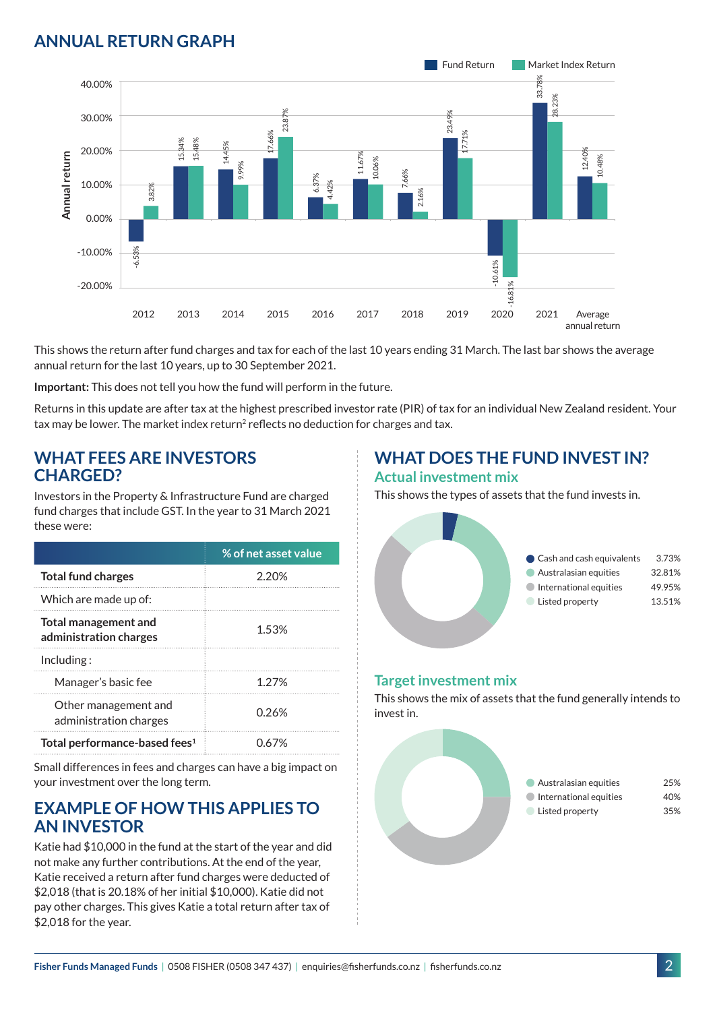## **ANNUAL RETURN GRAPH**



This shows the return after fund charges and tax for each of the last 10 years ending 31 March. The last bar shows the average annual return for the last 10 years, up to 30 September 2021.

**Important:** This does not tell you how the fund will perform in the future.

Returns in this update are after tax at the highest prescribed investor rate (PIR) of tax for an individual New Zealand resident. Your tax may be lower. The market index return<sup>2</sup> reflects no deduction for charges and tax.

#### **WHAT FEES ARE INVESTORS CHARGED?**

Investors in the Property & Infrastructure Fund are charged fund charges that include GST. In the year to 31 March 2021 these were:

|                                                       | % of net asset value |
|-------------------------------------------------------|----------------------|
| <b>Total fund charges</b>                             | 2 20%                |
| Which are made up of:                                 |                      |
| <b>Total management and</b><br>administration charges | 1.53%                |
| Inding:                                               |                      |
| Manager's basic fee                                   | 1 2 7 %              |
| Other management and<br>administration charges        | 0.26%                |
| Total performance-based fees <sup>1</sup>             | በ 67%                |

Small differences in fees and charges can have a big impact on your investment over the long term.

## **EXAMPLE OF HOW THIS APPLIES TO AN INVESTOR**

Katie had \$10,000 in the fund at the start of the year and did not make any further contributions. At the end of the year, Katie received a return after fund charges were deducted of \$2,018 (that is 20.18% of her initial \$10,000). Katie did not pay other charges. This gives Katie a total return after tax of \$2,018 for the year.

# **WHAT DOES THE FUND INVEST IN?**

#### **Actual investment mix**

This shows the types of assets that the fund invests in.



#### **Target investment mix**

This shows the mix of assets that the fund generally intends to invest in.